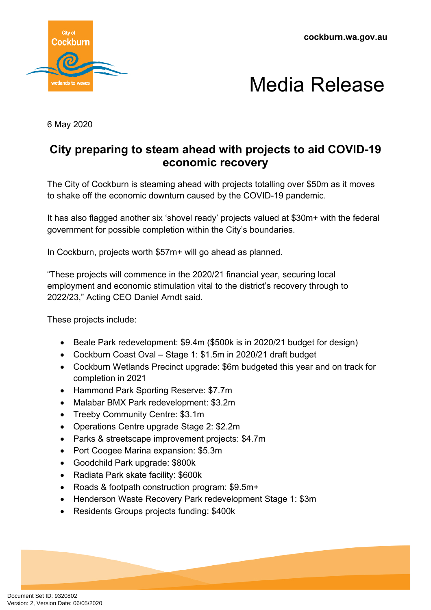**cockburn.wa.gov.au**





6 May 2020

## **City preparing to steam ahead with projects to aid COVID-19 economic recovery**

The City of Cockburn is steaming ahead with projects totalling over \$50m as it moves to shake off the economic downturn caused by the COVID-19 pandemic.

It has also flagged another six 'shovel ready' projects valued at \$30m+ with the federal government for possible completion within the City's boundaries.

In Cockburn, projects worth \$57m+ will go ahead as planned.

"These projects will commence in the 2020/21 financial year, securing local employment and economic stimulation vital to the district's recovery through to 2022/23," Acting CEO Daniel Arndt said.

These projects include:

- Beale Park redevelopment: \$9.4m (\$500k is in 2020/21 budget for design)
- Cockburn Coast Oval Stage 1: \$1.5m in 2020/21 draft budget
- Cockburn Wetlands Precinct upgrade: \$6m budgeted this year and on track for completion in 2021
- Hammond Park Sporting Reserve: \$7.7m
- Malabar BMX Park redevelopment: \$3.2m
- Treeby Community Centre: \$3.1m
- Operations Centre upgrade Stage 2: \$2.2m
- Parks & streetscape improvement projects: \$4.7m
- Port Coogee Marina expansion: \$5.3m
- Goodchild Park upgrade: \$800k
- Radiata Park skate facility: \$600k
- Roads & footpath construction program: \$9.5m+
- Henderson Waste Recovery Park redevelopment Stage 1: \$3m
- Residents Groups projects funding: \$400k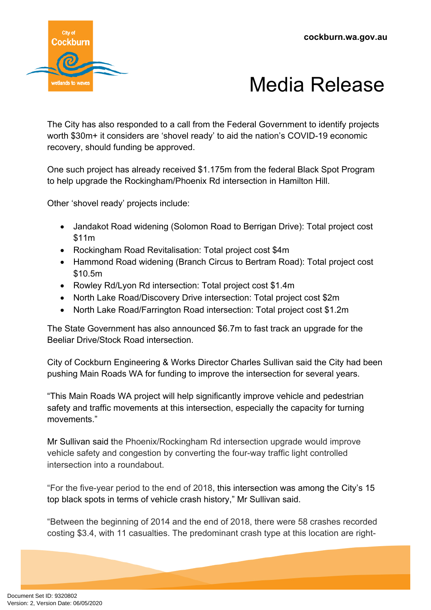



The City has also responded to a call from the Federal Government to identify projects worth \$30m+ it considers are 'shovel ready' to aid the nation's COVID-19 economic recovery, should funding be approved.

One such project has already received \$1.175m from the federal Black Spot Program to help upgrade the Rockingham/Phoenix Rd intersection in Hamilton Hill.

Other 'shovel ready' projects include:

- Jandakot Road widening (Solomon Road to Berrigan Drive): Total project cost \$11m
- Rockingham Road Revitalisation: Total project cost \$4m
- Hammond Road widening (Branch Circus to Bertram Road): Total project cost \$10.5m
- Rowley Rd/Lyon Rd intersection: Total project cost \$1.4m
- North Lake Road/Discovery Drive intersection: Total project cost \$2m
- North Lake Road/Farrington Road intersection: Total project cost \$1.2m

The State Government has also announced \$6.7m to fast track an upgrade for the Beeliar Drive/Stock Road intersection.

City of Cockburn Engineering & Works Director Charles Sullivan said the City had been pushing Main Roads WA for funding to improve the intersection for several years.

"This Main Roads WA project will help significantly improve vehicle and pedestrian safety and traffic movements at this intersection, especially the capacity for turning movements."

Mr Sullivan said the Phoenix/Rockingham Rd intersection upgrade would improve vehicle safety and congestion by converting the four-way traffic light controlled intersection into a roundabout.

"For the five-year period to the end of 2018, this intersection was among the City's 15 top black spots in terms of vehicle crash history," Mr Sullivan said.

"Between the beginning of 2014 and the end of 2018, there were 58 crashes recorded costing \$3.4, with 11 casualties. The predominant crash type at this location are right-